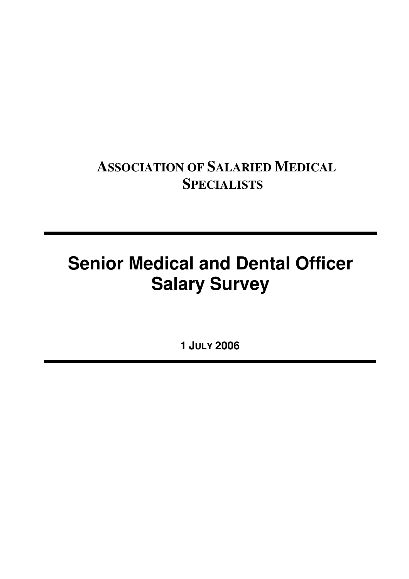# **ASSOCIATION OF SALARIED MEDICAL SPECIALISTS**

# **Senior Medical and Dental Officer Salary Survey**

**1 JULY 2006**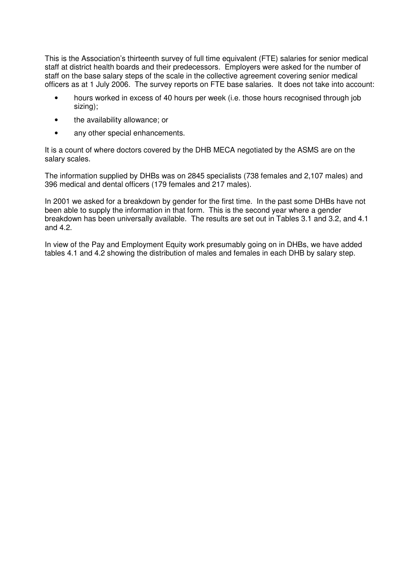This is the Association's thirteenth survey of full time equivalent (FTE) salaries for senior medical staff at district health boards and their predecessors. Employers were asked for the number of staff on the base salary steps of the scale in the collective agreement covering senior medical officers as at 1 July 2006. The survey reports on FTE base salaries. It does not take into account:

- hours worked in excess of 40 hours per week (i.e. those hours recognised through job sizing);
- the availability allowance; or
- any other special enhancements.

It is a count of where doctors covered by the DHB MECA negotiated by the ASMS are on the salary scales.

The information supplied by DHBs was on 2845 specialists (738 females and 2,107 males) and 396 medical and dental officers (179 females and 217 males).

In 2001 we asked for a breakdown by gender for the first time. In the past some DHBs have not been able to supply the information in that form. This is the second year where a gender breakdown has been universally available. The results are set out in Tables 3.1 and 3.2, and 4.1 and 4.2.

In view of the Pay and Employment Equity work presumably going on in DHBs, we have added tables 4.1 and 4.2 showing the distribution of males and females in each DHB by salary step.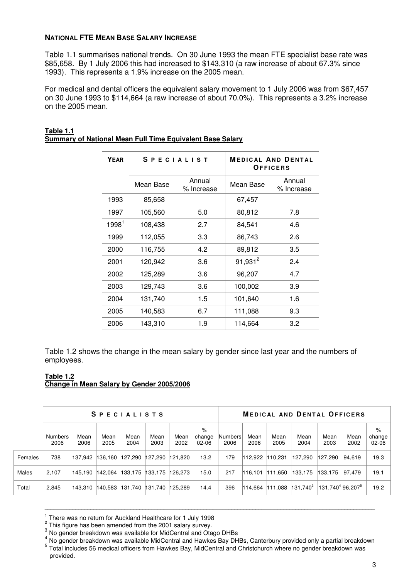#### **NATIONAL FTE MEAN BASE SALARY INCREASE**

Table 1.1 summarises national trends. On 30 June 1993 the mean FTE specialist base rate was \$85,658. By 1 July 2006 this had increased to \$143,310 (a raw increase of about 67.3% since 1993). This represents a 1.9% increase on the 2005 mean.

For medical and dental officers the equivalent salary movement to 1 July 2006 was from \$67,457 on 30 June 1993 to \$114,664 (a raw increase of about 70.0%). This represents a 3.2% increase on the 2005 mean.

| <b>YEAR</b> |           | <b>SPECIALIST</b>    |            | <b>MEDICAL AND DENTAL</b><br>OFFICERS |
|-------------|-----------|----------------------|------------|---------------------------------------|
|             | Mean Base | Annual<br>% Increase | Mean Base  | Annual<br>% Increase                  |
| 1993        | 85,658    |                      | 67,457     |                                       |
| 1997        | 105,560   | 5.0                  | 80,812     | 7.8                                   |
| $1998^1$    | 108,438   | 2.7                  | 84,541     | 4.6                                   |
| 1999        | 112,055   | 3.3                  | 86,743     | 2.6                                   |
| 2000        | 116,755   | 4.2                  | 89,812     | 3.5                                   |
| 2001        | 120,942   | 3.6                  | $91,931^2$ | 2.4                                   |
| 2002        | 125,289   | 3.6                  | 96,207     | 4.7                                   |
| 2003        | 129,743   | 3.6                  | 100,002    | 3.9                                   |
| 2004        | 131,740   | 1.5                  | 101,640    | 1.6                                   |
| 2005        | 140,583   | 6.7                  | 111,088    | 9.3                                   |
| 2006        | 143,310   | 1.9                  | 114,664    | 3.2                                   |

| Table 1.1                                                 |  |
|-----------------------------------------------------------|--|
| Summary of National Mean Full Time Equivalent Base Salary |  |

Table 1.2 shows the change in the mean salary by gender since last year and the numbers of employees.

#### **Table 1.2 Change in Mean Salary by Gender 2005/2006**

|         |                 |              | <b>SPECIALISTS</b>      |              |              |              | <b>MEDICAL AND DENTAL OFFICERS</b> |                 |              |              |              |                                          |              |                          |
|---------|-----------------|--------------|-------------------------|--------------|--------------|--------------|------------------------------------|-----------------|--------------|--------------|--------------|------------------------------------------|--------------|--------------------------|
|         | Numbers<br>2006 | Mean<br>2006 | Mean<br>2005            | Mean<br>2004 | Mean<br>2003 | Mean<br>2002 | %<br>ichange<br>$02-06$            | Numbers<br>2006 | Mean<br>2006 | Mean<br>2005 | Mean<br>2004 | Mean<br>2003                             | Mean<br>2002 | %<br>change<br>$02 - 06$ |
| Females | 738             | 137.942      | $136,160$ 127,290       |              | 127,290      | 121.820      | 13.2                               | 179             | 112.922      | 110.231      | 127,290      | 127.290                                  | 94,619       | 19.3                     |
| Males   | 2.107           | 145.190      | 142.064                 | 133,175      | 133, 175     | 126,273      | 15.0                               | 217             | 116.101      | 111.650      | 133.175      | 133.175                                  | 97.479       | 19.1                     |
| Total   | 2,845           | 143,310      | 140,583 131,740 131,740 |              |              | 125.289      | 14.4                               | 396             | 114,664      | 111,088      | $131,740^3$  | 131.740 <sup>4</sup> 96.207 <sup>5</sup> |              | 19.2                     |

<sup>&</sup>lt;sup>1</sup> There was no return for Auckland Healthcare for 1 July 1998

4 No gender breakdown was available MidCentral and Hawkes Bay DHBs, Canterbury provided only a partial breakdown 5 Total includes 56 medical officers from Hawkes Bay, MidCentral and Christchurch where no gender breakdown was provided.

 $2$  This figure has been amended from the 2001 salary survey.

<sup>&</sup>lt;sup>3</sup> No gender breakdown was available for MidCentral and Otago DHBs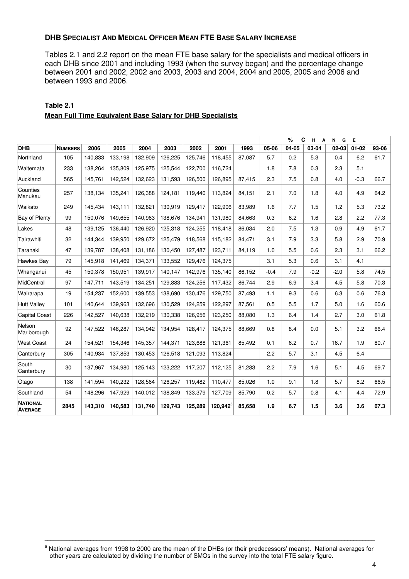#### **DHB SPECIALIST AND MEDICAL OFFICER MEAN FTE BASE SALARY INCREASE**

Tables 2.1 and 2.2 report on the mean FTE base salary for the specialists and medical officers in each DHB since 2001 and including 1993 (when the survey began) and the percentage change between 2001 and 2002, 2002 and 2003, 2003 and 2004, 2004 and 2005, 2005 and 2006 and between 1993 and 2006.

|                                   |                |         |         |         |         |         |                      |        | %<br>C<br>н<br>A<br>N<br>G<br>Е |       |        |        |           |       |
|-----------------------------------|----------------|---------|---------|---------|---------|---------|----------------------|--------|---------------------------------|-------|--------|--------|-----------|-------|
| <b>DHB</b>                        | <b>NUMBERS</b> | 2006    | 2005    | 2004    | 2003    | 2002    | 2001                 | 1993   | 05-06                           | 04-05 | 03-04  | 02-03  | $01 - 02$ | 93-06 |
| Northland                         | 105            | 140,833 | 133,198 | 132,909 | 126,225 | 125,746 | 118,455              | 87,087 | 5.7                             | 0.2   | 5.3    | 0.4    | 6.2       | 61.7  |
| Waitemata                         | 233            | 138,264 | 135,809 | 125,975 | 125,544 | 122,700 | 116,724              |        | 1.8                             | 7.8   | 0.3    | 2.3    | 5.1       |       |
| Auckland                          | 565            | 145,761 | 142,524 | 132,623 | 131,593 | 126,500 | 126,895              | 87,415 | 2.3                             | 7.5   | 0.8    | 4.0    | $-0.3$    | 66.7  |
| Counties<br>Manukau               | 257            | 138,134 | 135,241 | 126,388 | 124,181 | 119,440 | 113,824              | 84,151 | 2.1                             | 7.0   | 1.8    | 4.0    | 4.9       | 64.2  |
| Waikato                           | 249            | 145.434 | 143.111 | 132.821 | 130,919 | 129.417 | 122.906              | 83.989 | 1.6                             | 7.7   | 1.5    | 1.2    | 5.3       | 73.2  |
| Bay of Plenty                     | 99             | 150.076 | 149.655 | 140.963 | 138.676 | 134.941 | 131.980              | 84.663 | 0.3                             | 6.2   | 1.6    | 2.8    | 2.2       | 77.3  |
| Lakes                             | 48             | 139,125 | 136,440 | 126,920 | 125,318 | 124,255 | 118,418              | 86,034 | 2.0                             | 7.5   | 1.3    | 0.9    | 4.9       | 61.7  |
| Tairawhiti                        | 32             | 144,344 | 139,950 | 129,672 | 125,479 | 118,568 | 115,182              | 84,471 | 3.1                             | 7.9   | 3.3    | 5.8    | 2.9       | 70.9  |
| Taranaki                          | 47             | 139.787 | 138.408 | 131,186 | 130,450 | 127,487 | 123.711              | 84,119 | 1.0                             | 5.5   | 0.6    | 2.3    | 3.1       | 66.2  |
| Hawkes Bay                        | 79             | 145,918 | 141,469 | 134,371 | 133,552 | 129,476 | 124,375              |        | 3.1                             | 5.3   | 0.6    | 3.1    | 4.1       |       |
| Whanganui                         | 45             | 150,378 | 150,951 | 139,917 | 140,147 | 142,976 | 135,140              | 86,152 | $-0.4$                          | 7.9   | $-0.2$ | $-2.0$ | 5.8       | 74.5  |
| <b>MidCentral</b>                 | 97             | 147,711 | 143,519 | 134,251 | 129,883 | 124.256 | 117,432              | 86.744 | 2.9                             | 6.9   | 3.4    | 4.5    | 5.8       | 70.3  |
| Wairarapa                         | 19             | 154,237 | 152.600 | 139,553 | 138.690 | 130.476 | 129.750              | 87,493 | 1.1                             | 9.3   | 0.6    | 6.3    | 0.6       | 76.3  |
| <b>Hutt Valley</b>                | 101            | 140.644 | 139,963 | 132.696 | 130,529 | 124,259 | 122,297              | 87,561 | 0.5                             | 5.5   | 1.7    | 5.0    | 1.6       | 60.6  |
| <b>Capital Coast</b>              | 226            | 142,527 | 140,638 | 132,219 | 130,338 | 126,956 | 123,250              | 88,080 | 1.3                             | 6.4   | 1.4    | 2.7    | 3.0       | 61.8  |
| Nelson<br>Marlborough             | 92             | 147.522 | 146,287 | 134.942 | 134,954 | 128.417 | 124.375              | 88.669 | 0.8                             | 8.4   | 0.0    | 5.1    | 3.2       | 66.4  |
| <b>West Coast</b>                 | 24             | 154,521 | 154,346 | 145,357 | 144,371 | 123,688 | 121,361              | 85,492 | 0.1                             | 6.2   | 0.7    | 16.7   | 1.9       | 80.7  |
| Canterbury                        | 305            | 140,934 | 137,853 | 130,453 | 126,518 | 121,093 | 113,824              |        | 2.2                             | 5.7   | 3.1    | 4.5    | 6.4       |       |
| South<br>Canterbury               | 30             | 137.967 | 134,980 | 125,143 | 123,222 | 117.207 | 112.125              | 81.283 | 2.2                             | 7.9   | 1.6    | 5.1    | 4.5       | 69.7  |
| Otago                             | 138            | 141,594 | 140,232 | 128,564 | 126,257 | 119.482 | 110,477              | 85,026 | 1.0                             | 9.1   | 1.8    | 5.7    | 8.2       | 66.5  |
| Southland                         | 54             | 148,296 | 147,929 | 140,012 | 138,849 | 133,379 | 127,709              | 85,790 | 0.2                             | 5.7   | 0.8    | 4.1    | 4.4       | 72.9  |
| <b>NATIONAL</b><br><b>AVERAGE</b> | 2845           | 143,310 | 140,583 | 131,740 | 129,743 | 125,289 | 120,942 <sup>6</sup> | 85,658 | 1.9                             | 6.7   | 1.5    | 3.6    | 3.6       | 67.3  |

## **Table 2.1 Mean Full Time Equivalent Base Salary for DHB Specialists**

 $^6$  National averages from 1998 to 2000 are the mean of the DHBs (or their predecessors' means). National averages for other years are calculated by dividing the number of SMOs in the survey into the total FTE salary figure.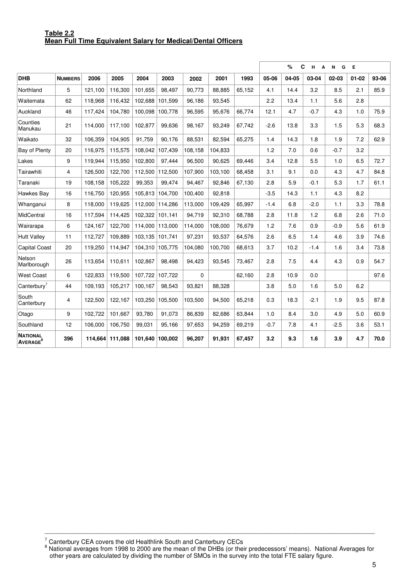#### **Table 2.2 Mean Full Time Equivalent Salary for Medical/Dental Officers**

|                                               |                |         |         |         |         |          |         |        | %<br>C<br>н<br>N<br>G<br>E<br>A |       |        |           |           |       |  |
|-----------------------------------------------|----------------|---------|---------|---------|---------|----------|---------|--------|---------------------------------|-------|--------|-----------|-----------|-------|--|
| <b>DHB</b>                                    | <b>NUMBERS</b> | 2006    | 2005    | 2004    | 2003    | 2002     | 2001    | 1993   | 05-06                           | 04-05 | 03-04  | $02 - 03$ | $01 - 02$ | 93-06 |  |
| Northland                                     | 5              | 121,100 | 116,300 | 101,655 | 98,497  | 90,773   | 88,885  | 65,152 | 4.1                             | 14.4  | 3.2    | 8.5       | 2.1       | 85.9  |  |
| Waitemata                                     | 62             | 118,968 | 116,432 | 102,688 | 101,599 | 96,186   | 93,545  |        | 2.2                             | 13.4  | 1.1    | 5.6       | 2.8       |       |  |
| Auckland                                      | 46             | 117,424 | 104,780 | 100,098 | 100,778 | 96,595   | 95,676  | 66,774 | 12.1                            | 4.7   | $-0.7$ | 4.3       | 1.0       | 75.9  |  |
| Counties<br>Manukau                           | 21             | 114.000 | 117.100 | 102.877 | 99.636  | 98,167   | 93,249  | 67.742 | $-2.6$                          | 13.8  | 3.3    | 1.5       | 5.3       | 68.3  |  |
| Waikato                                       | 32             | 106.359 | 104,905 | 91.759  | 90,176  | 88,531   | 82,594  | 65.275 | 1.4                             | 14.3  | 1.8    | 1.9       | 7.2       | 62.9  |  |
| Bay of Plenty                                 | 20             | 116.975 | 115,575 | 108.042 | 107,439 | 108.158  | 104,833 |        | 1.2                             | 7.0   | 0.6    | $-0.7$    | 3.2       |       |  |
| Lakes                                         | 9              | 119.944 | 115,950 | 102.800 | 97,444  | 96.500   | 90,625  | 69.446 | 3.4                             | 12.8  | 5.5    | 1.0       | 6.5       | 72.7  |  |
| Tairawhiti                                    | 4              | 126,500 | 122.700 | 112.500 | 112.500 | 107.900  | 103,100 | 68.458 | 3.1                             | 9.1   | 0.0    | 4.3       | 4.7       | 84.8  |  |
| Taranaki                                      | 19             | 108.158 | 105,222 | 99.353  | 99,474  | 94.467   | 92,846  | 67,130 | 2.8                             | 5.9   | $-0.1$ | 5.3       | 1.7       | 61.1  |  |
| Hawkes Bay                                    | 16             | 116,750 | 120,955 | 105,813 | 104,700 | 100,400  | 92,818  |        | $-3.5$                          | 14.3  | 1.1    | 4.3       | 8.2       |       |  |
| Whanganui                                     | 8              | 118,000 | 119,625 | 112,000 | 114,286 | 113,000  | 109,429 | 65,997 | $-1.4$                          | 6.8   | $-2.0$ | 1.1       | 3.3       | 78.8  |  |
| MidCentral                                    | 16             | 117,594 | 114,425 | 102,322 | 101,141 | 94,719   | 92,310  | 68,788 | 2.8                             | 11.8  | 1.2    | 6.8       | 2.6       | 71.0  |  |
| Wairarapa                                     | 6              | 124,167 | 122,700 | 114,000 | 113,000 | 114,000  | 108,000 | 76,679 | 1.2                             | 7.6   | 0.9    | $-0.9$    | 5.6       | 61.9  |  |
| <b>Hutt Valley</b>                            | 11             | 112,727 | 109,889 | 103,135 | 101,741 | 97,231   | 93,537  | 64,576 | 2.6                             | 6.5   | 1.4    | 4.6       | 3.9       | 74.6  |  |
| <b>Capital Coast</b>                          | 20             | 119,250 | 114,947 | 104,310 | 105,775 | 104,080  | 100,700 | 68,613 | 3.7                             | 10.2  | $-1.4$ | 1.6       | 3.4       | 73.8  |  |
| Nelson<br>Marlborough                         | 26             | 113,654 | 110,611 | 102,867 | 98,498  | 94,423   | 93,545  | 73,467 | 2.8                             | 7.5   | 4.4    | 4.3       | 0.9       | 54.7  |  |
| <b>West Coast</b>                             | 6              | 122.833 | 119,500 | 107,722 | 107.722 | $\Omega$ |         | 62,160 | 2.8                             | 10.9  | 0.0    |           |           | 97.6  |  |
| Canterbury <sup>7</sup>                       | 44             | 109,193 | 105,217 | 100.167 | 98,543  | 93.821   | 88,328  |        | 3.8                             | 5.0   | 1.6    | 5.0       | 6.2       |       |  |
| South<br>Canterbury                           | 4              | 122,500 | 122,167 | 103,250 | 105,500 | 103,500  | 94,500  | 65,218 | 0.3                             | 18.3  | $-2.1$ | 1.9       | 9.5       | 87.8  |  |
| Otago                                         | 9              | 102,722 | 101,667 | 93,780  | 91,073  | 86,839   | 82,686  | 63,844 | 1.0                             | 8.4   | 3.0    | 4.9       | 5.0       | 60.9  |  |
| Southland                                     | 12             | 106,000 | 106,750 | 99,031  | 95,166  | 97,653   | 94,259  | 69,219 | $-0.7$                          | 7.8   | 4.1    | $-2.5$    | 3.6       | 53.1  |  |
| <b>NATIONAL</b><br><b>AVERAGE<sup>8</sup></b> | 396            | 114.664 | 111,088 | 101,640 | 100,002 | 96,207   | 91,931  | 67,457 | 3.2                             | 9.3   | 1.6    | 3.9       | 4.7       | 70.0  |  |

<sup>7</sup> Canterbury CEA covers the old Healthlink South and Canterbury CECs<br><sup>8</sup> National averages from 1998 to 2000 are the mean of the DHBs (or their predecessors' means). National Averages for other years are calculated by dividing the number of SMOs in the survey into the total FTE salary figure.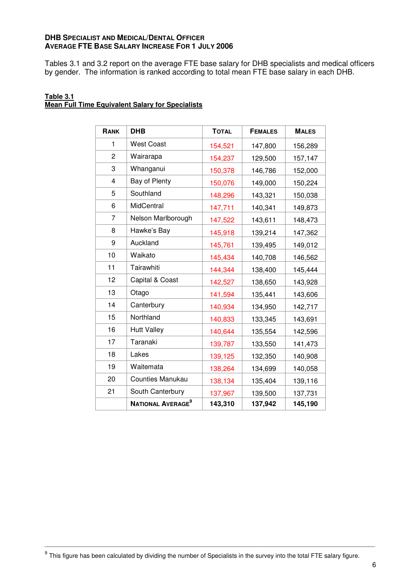#### **DHB SPECIALIST AND MEDICAL/DENTAL OFFICER AVERAGE FTE BASE SALARY INCREASE FOR 1 JULY 2006**

Tables 3.1 and 3.2 report on the average FTE base salary for DHB specialists and medical officers by gender. The information is ranked according to total mean FTE base salary in each DHB.

| Table 3.1 |                                                         |  |
|-----------|---------------------------------------------------------|--|
|           | <b>Mean Full Time Equivalent Salary for Specialists</b> |  |

| RANK                    | <b>DHB</b>                    | <b>TOTAL</b> | <b>FEMALES</b> | <b>MALES</b> |
|-------------------------|-------------------------------|--------------|----------------|--------------|
| 1                       | <b>West Coast</b>             | 154,521      | 147,800        | 156,289      |
| $\overline{c}$          | Wairarapa                     | 154,237      | 129,500        | 157,147      |
| 3                       | Whanganui                     | 150,378      | 146,786        | 152,000      |
| $\overline{\mathbf{4}}$ | Bay of Plenty                 | 150,076      | 149,000        | 150,224      |
| 5                       | Southland                     | 148,296      | 143,321        | 150,038      |
| 6                       | MidCentral                    | 147,711      | 140,341        | 149,873      |
| $\overline{7}$          | Nelson Marlborough            | 147,522      | 143,611        | 148,473      |
| 8                       | Hawke's Bay                   | 145,918      | 139,214        | 147,362      |
| 9                       | Auckland                      | 145,761      | 139,495        | 149,012      |
| 10                      | Waikato                       | 145,434      | 140,708        | 146,562      |
| 11                      | Tairawhiti                    | 144,344      | 138,400        | 145,444      |
| 12                      | Capital & Coast               | 142,527      | 138,650        | 143,928      |
| 13                      | Otago                         | 141,594      | 135,441        | 143,606      |
| 14                      | Canterbury                    | 140,934      | 134,950        | 142,717      |
| 15                      | Northland                     | 140,833      | 133,345        | 143,691      |
| 16                      | <b>Hutt Valley</b>            | 140,644      | 135,554        | 142,596      |
| 17                      | Taranaki                      | 139,787      | 133,550        | 141,473      |
| 18                      | Lakes                         | 139,125      | 132,350        | 140,908      |
| 19                      | Waitemata                     | 138,264      | 134,699        | 140,058      |
| 20                      | <b>Counties Manukau</b>       | 138,134      | 135,404        | 139,116      |
| 21                      | South Canterbury              | 137,967      | 139,500        | 137,731      |
|                         | NATIONAL AVERAGE <sup>9</sup> | 143,310      | 137,942        | 145,190      |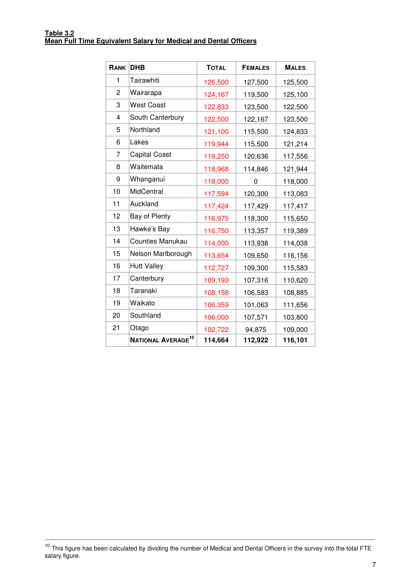| RANK           | <b>DHB</b>                     | <b>TOTAL</b> | <b>FEMALES</b> | <b>MALES</b> |
|----------------|--------------------------------|--------------|----------------|--------------|
| 1              | Tairawhiti                     | 126,500      | 127,500        | 125,500      |
| $\overline{c}$ | Wairarapa                      | 124,167      | 119,500        | 125,100      |
| 3              | <b>West Coast</b>              | 122,833      | 123,500        | 122,500      |
| 4              | South Canterbury               | 122,500      | 122,167        | 123,500      |
| 5              | Northland                      | 121,100      | 115,500        | 124,833      |
| 6              | Lakes                          | 119,944      | 115,500        | 121,214      |
| 7              | <b>Capital Coast</b>           | 119,250      | 120,636        | 117,556      |
| 8              | Waitemata                      | 118,968      | 114,846        | 121,944      |
| 9              | Whanganui                      | 118,000      | 0              | 118,000      |
| 10             | MidCentral                     | 117,594      | 120,300        | 113,083      |
| 11             | Auckland                       | 117,424      | 117,429        | 117,417      |
| 12             | Bay of Plenty                  | 116,975      | 118,300        | 115,650      |
| 13             | Hawke's Bay                    | 116,750      | 113,357        | 119,389      |
| 14             | <b>Counties Manukau</b>        | 114,000      | 113,938        | 114,038      |
| 15             | Nelson Marlborough             | 113,654      | 109,650        | 116,156      |
| 16             | <b>Hutt Valley</b>             | 112,727      | 109,300        | 115,583      |
| 17             | Canterbury                     | 109,193      | 107,316        | 110,620      |
| 18             | Taranaki                       | 108,158      | 106,583        | 108,885      |
| 19             | Waikato                        | 106,359      | 101,063        | 111,656      |
| 20             | Southland                      | 106,000      | 107,571        | 103,800      |
| 21             | Otago                          | 102,722      | 94,875         | 109,000      |
|                | NATIONAL AVERAGE <sup>10</sup> | 114,664      | 112,922        | 116,101      |

<sup>&</sup>lt;sup>10</sup> This figure has been calculated by dividing the number of Medical and Dental Officers in the survey into the total FTE salary figure.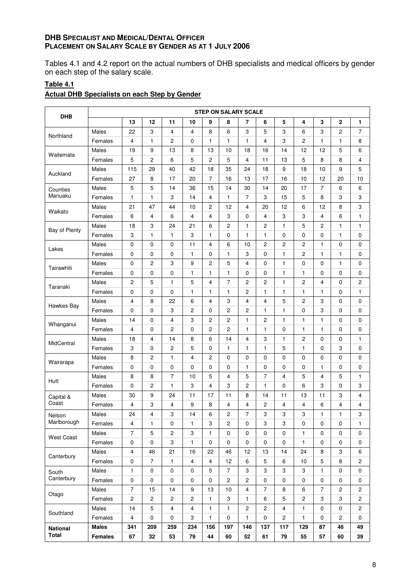#### **DHB SPECIALIST AND MEDICAL/DENTAL OFFICER PLACEMENT ON SALARY SCALE BY GENDER AS AT 1 JULY 2006**

Tables 4.1 and 4.2 report on the actual numbers of DHB specialists and medical officers by gender on each step of the salary scale.

# **Table 4.1**

#### **Actual DHB Specialists on each Step by Gender**

| <b>DHB</b>        |                |                         |                  |                |                         |                | <b>STEP ON SALARY SCALE</b> |                  |                |                |                           |                |                |                         |
|-------------------|----------------|-------------------------|------------------|----------------|-------------------------|----------------|-----------------------------|------------------|----------------|----------------|---------------------------|----------------|----------------|-------------------------|
|                   |                | 13                      | 12               | 11             | 10                      | 9              | 8                           | $\overline{7}$   | 6              | 5              | 4                         | 3              | $\overline{2}$ | 1                       |
|                   | Males          | 22                      | 3                | 4              | 4                       | 8              | 6                           | 3                | 5              | 3              | 6                         | 3              | $\overline{c}$ | 7                       |
| Northland         | Females        | 4                       | $\mathbf{1}$     | 2              | 0                       | 1              | 1                           | 1                | 4              | 3              | $\overline{c}$            | 1              | 1              | 8                       |
|                   | Males          | 19                      | 9                | 13             | 8                       | 13             | 10                          | 18               | 16             | 14             | 12                        | 12             | 5              | 6                       |
| Waitemata         | Females        | 5                       | $\overline{c}$   | 6              | 5                       | 2              | 5                           | 4                | 11             | 13             | 5                         | 8              | 8              | 4                       |
|                   | Males          | 115                     | 29               | 40             | 42                      | 18             | 35                          | 24               | 18             | 9              | 18                        | 10             | 9              | 5                       |
| Auckland          | Females        | 27                      | 8                | 17             | 20                      | $\overline{7}$ | 16                          | 13               | 17             | 16             | 10                        | 12             | 20             | 10                      |
| Counties          | Males          | 5                       | 5                | 14             | 36                      | 15             | 14                          | 30               | 14             | 20             | 17                        | $\overline{7}$ | 6              | 6                       |
| Manuaku           | Females        | 1                       | $\mathbf{1}$     | 3              | 14                      | 4              | 1                           | 7                | 3              | 15             | 5                         | 8              | 3              | 3                       |
|                   | Males          | 21                      | 47               | 44             | 10                      | 2              | 12                          | 4                | 20             | 12             | 6                         | 12             | 8              | 3                       |
| Waikato           | Females        | 6                       | $\overline{4}$   | 6              | 4                       | 4              | 3                           | 0                | $\overline{4}$ | 3              | 3                         | 4              | 6              | $\mathbf{1}$            |
|                   | Males          | 18                      | 3                | 24             | 21                      | 6              | $\overline{c}$              | $\mathbf{1}$     | $\overline{c}$ | 1              | 5                         | $\overline{c}$ | $\mathbf{1}$   | $\mathbf{1}$            |
| Bay of Plenty     | Females        | 3                       | 1                | 1              | 3                       | 1              | 0                           | 1                | 1              | 0              | 0                         | 0              | 1              | 0                       |
|                   | Males          | 0                       | 0                | 0              | 11                      | 4              | 6                           | 10               | 2              | $\overline{2}$ | 2                         | 1              | 0              | 0                       |
| Lakes             | Females        | 0                       | 0                | 0              | 1                       | 0              | 1                           | 3                | 0              | $\mathbf{1}$   | 2                         | 1              | 1              | 0                       |
|                   | Males          | 0                       | $\overline{2}$   | 3              | 9                       | 2              | 5                           | 4                | 0              | 1              | 0                         | 0              | 1              | 0                       |
| Tairawhiti        | Females        | 0                       | 0                | 0              | 1                       | 1              | 1                           | 0                | 0              | 1              | 1                         | 0              | 0              | 0                       |
|                   | Males          | $\overline{c}$          | 5                | $\mathbf{1}$   | 5                       | 4              | $\overline{7}$              | $\mathbf{2}$     | $\overline{2}$ | $\mathbf{1}$   | $\overline{c}$            | 4              | 0              | $\overline{c}$          |
| Taranaki          | Females        | 0                       | 0                | 0              | 1                       | 1              | 1                           | 2                | $\mathbf{1}$   | $\mathbf{1}$   | $\mathbf{1}$              | $\mathbf{1}$   | 0              | 1                       |
|                   | Males          | 4                       | 8                | 22             | 6                       | 4              | 3                           | 4                | 4              | 5              | 2                         | 3              | 0              | 0                       |
| Hawkes Bay        | Females        | 0                       | 0                | 3              | 2                       | 0              | 2                           | 2                | 1              | $\mathbf{1}$   | 0                         | 3              | 0              | 0                       |
| Whanganui         | Males          | 14                      | $\mathbf 0$      | 4              | 3                       | 2              | 2                           | 1                | $\overline{c}$ | $\mathbf{1}$   | $\mathbf{1}$              | $\mathbf{1}$   | 0              | 0                       |
|                   | Females        | 4                       | 0                | 2              | 0                       | 2              | 2                           | 1                | 1              | 0              | $\mathbf{1}$              | 1              | 0              | 0                       |
|                   | Males          | 18                      | 4                | 14             | 8                       | 6              | 14                          | 4                | 3              | $\mathbf{1}$   | 2                         | 0              | 0              | 1                       |
| MidCentral        | Females        | 3                       | $\mathbf 0$      | 2              | 5                       | 0              | 1                           | 1                | $\mathbf{1}$   | 5              | $\mathbf{1}$              | 0              | 3              | 0                       |
|                   | Males          | 8                       | $\mathbf{2}$     | $\mathbf{1}$   | 4                       | 2              | 0                           | 0                | 0              | $\Omega$       | 0                         | 0              | 0              | 0                       |
| Wairarapa         | Females        | 0                       | 0                | 0              | 0                       | 0              | 0                           | 1                | 0              | 0              | 0                         | 1              | 0              | 0                       |
|                   | Males          | 8                       | 8                | $\overline{7}$ | 10                      | 5              | 4                           | 5                | $\overline{7}$ | 4              | 5                         | 4              | 5              | 1                       |
| Hutt              | Females        | 0                       | $\mathbf{2}$     | 1              | 3                       | 4              | 3                           | 2                | $\mathbf{1}$   | 0              | 6                         | 3              | 0              | 3                       |
| Capital &         | Males          | 30                      | 9                | 24             | 11                      | 17             | 11                          | 8                | 14             | 11             | 13                        | 11             | 3              | 4                       |
| Coast             | Females        | 4                       | 3                | 4              | 9                       | 8              | 4                           | 4                | 2              | 4              | 4                         | 6              | 4              | 4                       |
| Nelson            | Males          | 24                      | 4                | 3              | 14                      | 6              | 2                           | 7                | 3              | 3              | $\ensuremath{\mathsf{3}}$ | $\mathbf{1}$   | 1              | 3                       |
| Marlborough       | Females        | 4                       | $\mathbf{1}$     | 0              | 1                       | 3              | $\overline{c}$              | 0                | 3              | 3              | $\mathbf 0$               | $\mathbf 0$    | 0              | $\mathbf{1}$            |
|                   | Males          | $\overline{7}$          | 5                | 2              | 3                       | 1              | $\mathbf 0$                 | 0                | 0              | $\mathbf 0$    | 1                         | 0              | 0              | 0                       |
| <b>West Coast</b> | Females        | 0                       | $\pmb{0}$        | 3              | 1                       | 0              | $\pmb{0}$                   | $\mathbf 0$      | 0              | $\pmb{0}$      | 1                         | 0              | 0              | 0                       |
|                   | Males          | 4                       | 46               | 21             | 16                      | 22             | 46                          | 12               | 13             | 14             | 24                        | 8              | 3              | 6                       |
| Canterbury        | Females        | $\pmb{0}$               | $\overline{7}$   | 1              | $\overline{\mathbf{4}}$ | 4              | 12                          | 6                | 5              | 6              | $10$                      | 5              | 8              | $\overline{\mathbf{c}}$ |
| South             | Males          | $\mathbf{1}$            | $\mathbf 0$      | $\mathbf 0$    | 0                       | 5              | $\boldsymbol{7}$            | 3                | 3              | 3              | 3                         | 1              | 0              | 0                       |
| Canterbury        | Females        | $\pmb{0}$               | $\pmb{0}$        | $\pmb{0}$      | 0                       | 0              | $\overline{c}$              | $\overline{c}$   | 0              | $\mathbf 0$    | $\mathbf 0$               | 0              | 0              | 0                       |
|                   | Males          | $\overline{7}$          | 15               | 14             | $\boldsymbol{9}$        | 13             | 10                          | 4                | $\overline{7}$ | 8              | 6                         | $\overline{7}$ | $\mathbf 2$    | $\overline{\mathbf{c}}$ |
| Otago             | Females        | $\boldsymbol{2}$        | $\boldsymbol{2}$ | 2              | $\mathbf 2$             | 1              | 3                           | 1                | 6              | $\mathbf 5$    | $\boldsymbol{2}$          | 3              | 3              | 2                       |
|                   | Males          | 14                      | $\mathbf 5$      | 4              | 4                       | 1              | 1                           | $\boldsymbol{2}$ | 2              | 4              | 1                         | 0              | 0              | $\overline{c}$          |
| Southland         | Females        | $\overline{\mathbf{4}}$ | $\mathbf 0$      | 0              | 3                       | 1              | $\pmb{0}$                   | 1                | 0              | $\mathbf{2}$   | $\mathbf{1}$              | $\mathbf 0$    | $\mathbf{2}$   | $\mathbf 0$             |
| <b>National</b>   | <b>Males</b>   | 341                     | 209              | 259            | 234                     | 156            | 197                         | 146              | 137            | 117            | 129                       | 87             | 46             | 49                      |
| <b>Total</b>      | <b>Females</b> | 67                      | 32               | 53             | 79                      | 44             | 60                          | 52               | 61             | 79             | 55                        | 57             | 60             | 39                      |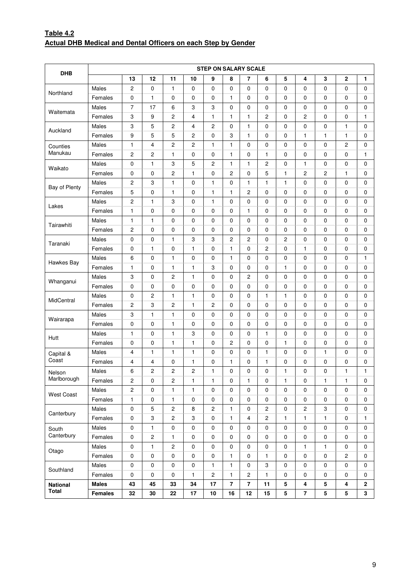### **Table 4.2 Actual DHB Medical and Dental Officers on each Step by Gender**

|                   |                |                |                         |                           |                         | <b>STEP ON SALARY SCALE</b> |                         |                |                         |                |                |             |                  |              |
|-------------------|----------------|----------------|-------------------------|---------------------------|-------------------------|-----------------------------|-------------------------|----------------|-------------------------|----------------|----------------|-------------|------------------|--------------|
| <b>DHB</b>        |                | 13             | 12                      | 11                        | 10                      | 9                           | 8                       | 7              | 6                       | 5              | 4              | 3           | $\mathbf{2}$     | 1            |
|                   | Males          | 2              | $\mathbf 0$             | 1                         | 0                       | $\mathbf 0$                 | 0                       | 0              | 0                       | 0              | $\mathbf 0$    | 0           | 0                | 0            |
| Northland         | Females        | 0              | 1                       | 0                         | 0                       | $\pmb{0}$                   | 1                       | 0              | 0                       | 0              | 0              | 0           | 0                | 0            |
|                   | Males          | $\overline{7}$ | 17                      | 6                         | 3                       | 3                           | $\mathbf 0$             | 0              | 0                       | $\mathbf 0$    | 0              | 0           | $\mathbf 0$      | 0            |
| Waitemata         | Females        | 3              | 9                       | $\overline{c}$            | 4                       | 1                           | 1                       | 1              | $\overline{\mathbf{c}}$ | 0              | 2              | 0           | 0                | 1            |
|                   | Males          | 3              | 5                       | $\overline{c}$            | 4                       | $\overline{c}$              | $\mathbf 0$             | $\mathbf{1}$   | $\mathbf 0$             | $\mathbf 0$    | 0              | $\mathbf 0$ | 1                | $\mathbf 0$  |
| Auckland          | Females        | 9              | 5                       | 5                         | 2                       | 0                           | 3                       | 1              | 0                       | 0              | $\mathbf{1}$   | 1           | 1                | 0            |
| Counties          | Males          | 1              | 4                       | $\overline{c}$            | 2                       | 1                           | $\mathbf{1}$            | 0              | 0                       | $\mathbf 0$    | 0              | 0           | $\boldsymbol{2}$ | 0            |
| Manukau           | Females        | 2              | $\overline{c}$          | 1                         | 0                       | $\mathbf 0$                 | 1                       | 0              | 1                       | 0              | 0              | 0           | 0                | $\mathbf{1}$ |
|                   | Males          | 0              | $\mathbf{1}$            | 3                         | 5                       | $\sqrt{2}$                  | 1                       | $\mathbf{1}$   | $\overline{\mathbf{c}}$ | 0              | $\mathbf{1}$   | 0           | $\mathbf 0$      | 0            |
| Waikato           | Females        | 0              | 0                       | $\overline{c}$            | 1                       | 0                           | $\overline{c}$          | 0              | 5                       | $\mathbf{1}$   | 2              | 2           | 1                | 0            |
|                   | Males          | 2              | 3                       | $\mathbf{1}$              | 0                       | 1                           | 0                       | 1              | $\mathbf{1}$            | $\mathbf{1}$   | 0              | 0           | $\mathbf 0$      | 0            |
| Bay of Plenty     | Females        | 5              | 0                       | $\mathbf{1}$              | 0                       | 1                           | 1                       | 2              | 0                       | $\mathbf 0$    | $\mathbf 0$    | 0           | 0                | 0            |
|                   | Males          | 2              | 1                       | $\ensuremath{\mathsf{3}}$ | 0                       | 1                           | 0                       | 0              | 0                       | $\mathbf 0$    | 0              | 0           | $\mathbf 0$      | 0            |
| Lakes             | Females        | 1              | 0                       | 0                         | 0                       | 0                           | 0                       | 1              | 0                       | 0              | 0              | 0           | 0                | 0            |
|                   | Males          | 1              | 1                       | 0                         | 0                       | 0                           | 0                       | 0              | 0                       | 0              | 0              | 0           | 0                | 0            |
| Tairawhiti        | Females        | 2              | 0                       | 0                         | 0                       | $\pmb{0}$                   | 0                       | 0              | 0                       | 0              | 0              | 0           | 0                | 0            |
|                   | Males          | 0              | $\pmb{0}$               | $\mathbf{1}$              | 3                       | 3                           | $\overline{\mathbf{c}}$ | 2              | 0                       | $\overline{c}$ | 0              | $\mathbf 0$ | $\mathbf 0$      | 0            |
| Taranaki          | Females        | 0              | 1                       | 0                         | 1                       | 0                           | $\mathbf{1}$            | 0              | $\overline{\mathbf{c}}$ | 0              | $\mathbf{1}$   | 0           | 0                | 0            |
|                   | Males          | 6              | $\mathbf 0$             | $\mathbf{1}$              | 0                       | $\mathbf 0$                 | 1                       | 0              | $\mathbf 0$             | $\mathbf 0$    | 0              | $\mathbf 0$ | $\mathbf 0$      | 1            |
| Hawkes Bay        | Females        | 1              | 0                       | $\mathbf{1}$              | 1                       | 3                           | 0                       | 0              | 0                       | $\mathbf{1}$   | 0              | 0           | 0                | 0            |
|                   | Males          | 3              | 0                       | $\overline{c}$            | 1                       | 0                           | 0                       | 2              | 0                       | 0              | 0              | 0           | 0                | 0            |
| Whanganui         | Females        | 0              | $\mathbf 0$             | 0                         | 0                       | $\mathbf 0$                 | 0                       | 0              | 0                       | 0              | $\mathbf 0$    | 0           | 0                | 0            |
|                   | Males          | 0              | 2                       | $\mathbf{1}$              | 1                       | $\mathbf 0$                 | 0                       | 0              | $\mathbf{1}$            | $\mathbf{1}$   | 0              | 0           | 0                | 0            |
| MidCentral        | Females        | 2              | 3                       | $\overline{c}$            | 1                       | 2                           | $\mathbf 0$             | 0              | 0                       | 0              | 0              | 0           | 0                | 0            |
|                   | Males          | 3              | 1                       | $\mathbf{1}$              | 0                       | 0                           | 0                       | 0              | 0                       | 0              | 0              | 0           | 0                | 0            |
| Wairarapa         | Females        | 0              | 0                       | $\mathbf{1}$              | 0                       | $\mathbf 0$                 | 0                       | 0              | 0                       | $\mathbf 0$    | $\mathbf 0$    | 0           | 0                | 0            |
|                   | Males          | $\mathbf{1}$   | 0                       | $\mathbf{1}$              | 3                       | 0                           | 0                       | 0              | $\mathbf{1}$            | $\mathbf 0$    | 0              | 0           | $\mathbf 0$      | 0            |
| Hutt              | Females        | 0              | 0                       | 1                         | 1                       | 0                           | $\overline{\mathbf{c}}$ | 0              | 0                       | $\mathbf{1}$   | 0              | 0           | 0                | 0            |
| Capital &         | Males          | 4              | 1                       | $\mathbf{1}$              | 1                       | $\pmb{0}$                   | 0                       | 0              | $\mathbf{1}$            | 0              | $\mathbf 0$    | 1           | 0                | 0            |
| Coast             | Females        | 4              | 4                       | 0                         | 1                       | 0                           | 1                       | 0              | $\mathbf{1}$            | 0              | 0              | 0           | 0                | 0            |
| Nelson            | Males          | 6              | $\overline{\mathbf{c}}$ | $\sqrt{2}$                | $\overline{\mathbf{c}}$ | 1                           | $\pmb{0}$               | 0              | $\pmb{0}$               | $\mathbf{1}$   | $\pmb{0}$      | $\mathsf 0$ | 1                | 1            |
| Marlborough       | Females        | 2              | 0                       | $\overline{c}$            | 1                       | 1                           | 0                       | $\mathbf{1}$   | 0                       | $\mathbf{1}$   | 0              | 1           | 1                | 0            |
|                   | Males          | $\overline{c}$ | $\pmb{0}$               | $\mathbf{1}$              | 1                       | $\pmb{0}$                   | $\pmb{0}$               | $\mathbf 0$    | $\mathbf 0$             | $\pmb{0}$      | $\pmb{0}$      | $\mathbf 0$ | $\mathbf 0$      | $\mathbf 0$  |
| <b>West Coast</b> | Females        | $\mathbf{1}$   | 0                       | $\mathbf{1}$              | 0                       | $\mathbf 0$                 | 0                       | 0              | 0                       | $\mathbf 0$    | 0              | $\mathbf 0$ | $\mathbf 0$      | $\mathbf 0$  |
|                   | Males          | 0              | $\mathbf 5$             | $\sqrt{2}$                | 8                       | $\sqrt{2}$                  | 1                       | 0              | $\boldsymbol{2}$        | $\mathbf 0$    | $\overline{c}$ | 3           | $\mathbf 0$      | $\mathbf 0$  |
| Canterbury        | Females        | 0              | 3                       | $\sqrt{2}$                | 3                       | $\mathbf 0$                 | 1                       | 4              | $\sqrt{2}$              | 1              | $\mathbf{1}$   | 1           | 0                | 1            |
| South             | Males          | 0              | $\mathbf{1}$            | $\mathbf 0$               | 0                       | $\mathbf 0$                 | $\mathbf 0$             | 0              | $\mathbf 0$             | $\mathbf 0$    | $\mathbf 0$    | $\mathbf 0$ | $\mathbf 0$      | $\mathbf 0$  |
| Canterbury        | Females        | 0              | $\sqrt{2}$              | $\mathbf{1}$              | $\pmb{0}$               | $\pmb{0}$                   | $\pmb{0}$               | 0              | $\pmb{0}$               | $\pmb{0}$      | $\pmb{0}$      | $\pmb{0}$   | $\mathbf 0$      | 0            |
|                   | Males          | $\pmb{0}$      | 1                       | $\overline{c}$            | 0                       | $\pmb{0}$                   | $\pmb{0}$               | 0              | 0                       | $\mathbf 0$    | 1              | 1           | 0                | 0            |
| Otago             | Females        | 0              | $\pmb{0}$               | $\pmb{0}$                 | 0                       | $\pmb{0}$                   | 1                       | $\pmb{0}$      | 1                       | $\pmb{0}$      | $\mathbf 0$    | 0           | $\overline{c}$   | $\mathbf 0$  |
|                   | Males          | 0              | $\mathbf 0$             | $\pmb{0}$                 | 0                       | 1                           | 1                       | 0              | 3                       | $\mathbf 0$    | $\mathbf 0$    | $\mathbf 0$ | $\mathbf 0$      | 0            |
| Southland         | Females        | 0              | $\pmb{0}$               | $\mathbf 0$               | 1                       | $\sqrt{2}$                  | 1                       | 2              | $\mathbf{1}$            | $\mathbf 0$    | 0              | $\mathbf 0$ | 0                | 0            |
| <b>National</b>   | <b>Males</b>   | 43             | 45                      | 33                        | 34                      | 17                          | $\overline{7}$          | $\overline{7}$ | 11                      | 5              | 4              | 5           | 4                | $\mathbf 2$  |
| <b>Total</b>      | <b>Females</b> | 32             | 30                      | 22                        | 17                      | 10                          | 16                      | 12             | 15                      | 5              | $\overline{7}$ | 5           | $\sqrt{5}$       | $\mathbf{3}$ |